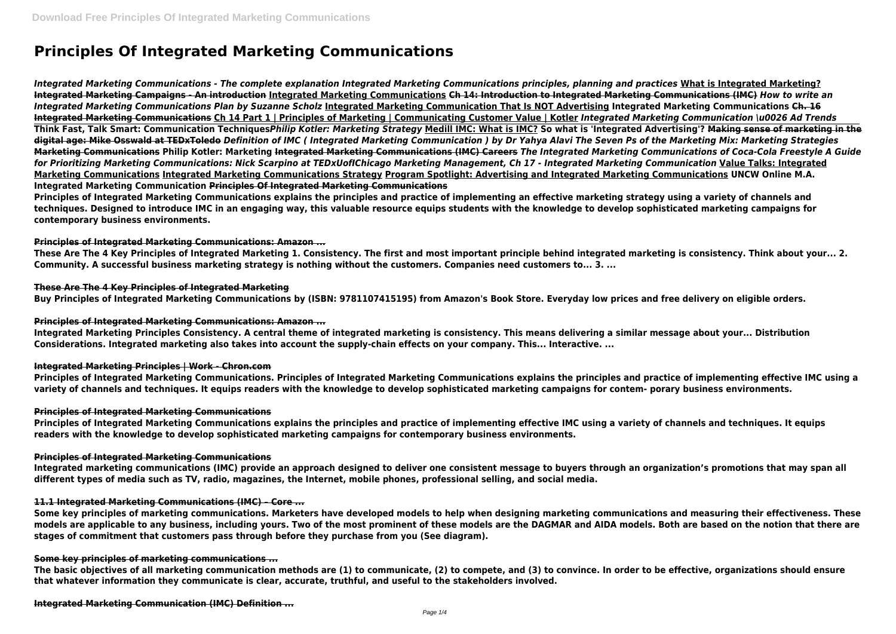# **Principles Of Integrated Marketing Communications**

*Integrated Marketing Communications - The complete explanation Integrated Marketing Communications principles, planning and practices* **What is Integrated Marketing? Integrated Marketing Campaigns - An introduction Integrated Marketing Communications Ch 14: Introduction to Integrated Marketing Communications (IMC)** *How to write an Integrated Marketing Communications Plan by Suzanne Scholz* **Integrated Marketing Communication That Is NOT Advertising Integrated Marketing Communications Ch. 16 Integrated Marketing Communications Ch 14 Part 1 | Principles of Marketing | Communicating Customer Value | Kotler** *Integrated Marketing Communication \u0026 Ad Trends* **Think Fast, Talk Smart: Communication Techniques***Philip Kotler: Marketing Strategy* **Medill IMC: What is IMC? So what is 'Integrated Advertising'? Making sense of marketing in the digital age: Mike Osswald at TEDxToledo** *Definition of IMC ( Integrated Marketing Communication ) by Dr Yahya Alavi The Seven Ps of the Marketing Mix: Marketing Strategies* **Marketing Communications Philip Kotler: Marketing Integrated Marketing Communications (IMC) Careers** *The Integrated Marketing Communications of Coca-Cola Freestyle A Guide for Prioritizing Marketing Communications: Nick Scarpino at TEDxUofIChicago Marketing Management, Ch 17 - Integrated Marketing Communication* **Value Talks: Integrated Marketing Communications Integrated Marketing Communications Strategy Program Spotlight: Advertising and Integrated Marketing Communications UNCW Online M.A. Integrated Marketing Communication Principles Of Integrated Marketing Communications**

**Principles of Integrated Marketing Communications explains the principles and practice of implementing an effective marketing strategy using a variety of channels and techniques. Designed to introduce IMC in an engaging way, this valuable resource equips students with the knowledge to develop sophisticated marketing campaigns for contemporary business environments.**

## **Principles of Integrated Marketing Communications: Amazon ...**

**These Are The 4 Key Principles of Integrated Marketing 1. Consistency. The first and most important principle behind integrated marketing is consistency. Think about your... 2. Community. A successful business marketing strategy is nothing without the customers. Companies need customers to... 3. ...**

#### **These Are The 4 Key Principles of Integrated Marketing**

**Buy Principles of Integrated Marketing Communications by (ISBN: 9781107415195) from Amazon's Book Store. Everyday low prices and free delivery on eligible orders.**

#### **Principles of Integrated Marketing Communications: Amazon ...**

**Integrated Marketing Principles Consistency. A central theme of integrated marketing is consistency. This means delivering a similar message about your... Distribution Considerations. Integrated marketing also takes into account the supply-chain effects on your company. This... Interactive. ...**

## **Integrated Marketing Principles | Work - Chron.com**

**Principles of Integrated Marketing Communications. Principles of Integrated Marketing Communications explains the principles and practice of implementing effective IMC using a variety of channels and techniques. It equips readers with the knowledge to develop sophisticated marketing campaigns for contem- porary business environments.**

#### **Principles of Integrated Marketing Communications**

**Principles of Integrated Marketing Communications explains the principles and practice of implementing effective IMC using a variety of channels and techniques. It equips readers with the knowledge to develop sophisticated marketing campaigns for contemporary business environments.**

#### **Principles of Integrated Marketing Communications**

**Integrated marketing communications (IMC) provide an approach designed to deliver one consistent message to buyers through an organization's promotions that may span all different types of media such as TV, radio, magazines, the Internet, mobile phones, professional selling, and social media.**

#### **11.1 Integrated Marketing Communications (IMC) – Core ...**

**Some key principles of marketing communications. Marketers have developed models to help when designing marketing communications and measuring their effectiveness. These models are applicable to any business, including yours. Two of the most prominent of these models are the DAGMAR and AIDA models. Both are based on the notion that there are stages of commitment that customers pass through before they purchase from you (See diagram).**

#### **Some key principles of marketing communications ...**

**The basic objectives of all marketing communication methods are (1) to communicate, (2) to compete, and (3) to convince. In order to be effective, organizations should ensure that whatever information they communicate is clear, accurate, truthful, and useful to the stakeholders involved.**

**Integrated Marketing Communication (IMC) Definition ...**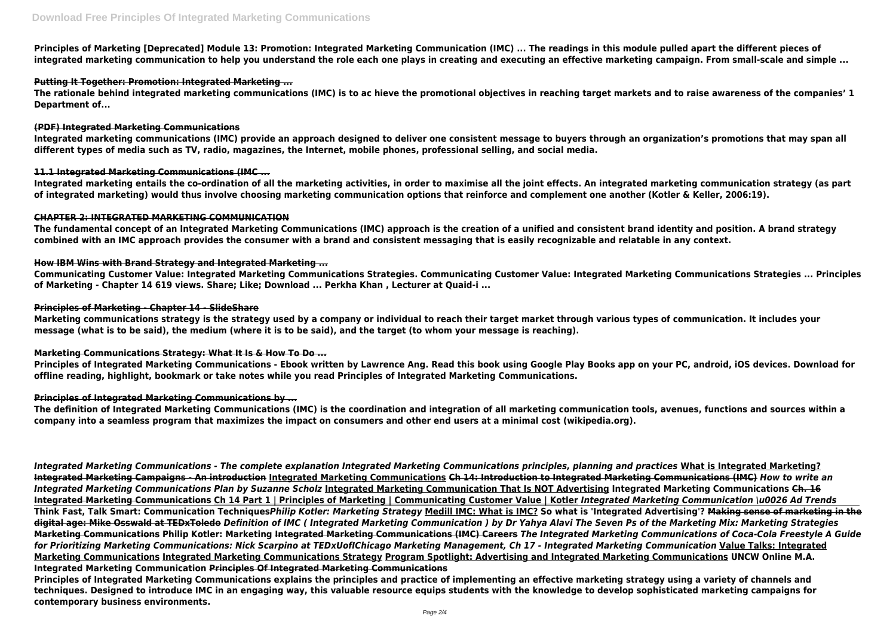**Principles of Marketing [Deprecated] Module 13: Promotion: Integrated Marketing Communication (IMC) ... The readings in this module pulled apart the different pieces of integrated marketing communication to help you understand the role each one plays in creating and executing an effective marketing campaign. From small-scale and simple ...**

## **Putting It Together: Promotion: Integrated Marketing ...**

**The rationale behind integrated marketing communications (IMC) is to ac hieve the promotional objectives in reaching target markets and to raise awareness of the companies' 1 Department of...**

#### **(PDF) Integrated Marketing Communications**

**Integrated marketing communications (IMC) provide an approach designed to deliver one consistent message to buyers through an organization's promotions that may span all different types of media such as TV, radio, magazines, the Internet, mobile phones, professional selling, and social media.**

## **11.1 Integrated Marketing Communications (IMC ...**

**Integrated marketing entails the co-ordination of all the marketing activities, in order to maximise all the joint effects. An integrated marketing communication strategy (as part of integrated marketing) would thus involve choosing marketing communication options that reinforce and complement one another (Kotler & Keller, 2006:19).**

## **CHAPTER 2: INTEGRATED MARKETING COMMUNICATION**

**The fundamental concept of an Integrated Marketing Communications (IMC) approach is the creation of a unified and consistent brand identity and position. A brand strategy combined with an IMC approach provides the consumer with a brand and consistent messaging that is easily recognizable and relatable in any context.**

## **How IBM Wins with Brand Strategy and Integrated Marketing ...**

**Communicating Customer Value: Integrated Marketing Communications Strategies. Communicating Customer Value: Integrated Marketing Communications Strategies ... Principles of Marketing - Chapter 14 619 views. Share; Like; Download ... Perkha Khan , Lecturer at Quaid-i ...**

## **Principles of Marketing - Chapter 14 - SlideShare**

**Marketing communications strategy is the strategy used by a company or individual to reach their target market through various types of communication. It includes your message (what is to be said), the medium (where it is to be said), and the target (to whom your message is reaching).**

## **Marketing Communications Strategy: What It Is & How To Do ...**

**Principles of Integrated Marketing Communications - Ebook written by Lawrence Ang. Read this book using Google Play Books app on your PC, android, iOS devices. Download for offline reading, highlight, bookmark or take notes while you read Principles of Integrated Marketing Communications.**

## **Principles of Integrated Marketing Communications by ...**

**The definition of Integrated Marketing Communications (IMC) is the coordination and integration of all marketing communication tools, avenues, functions and sources within a company into a seamless program that maximizes the impact on consumers and other end users at a minimal cost (wikipedia.org).**

*Integrated Marketing Communications - The complete explanation Integrated Marketing Communications principles, planning and practices* **What is Integrated Marketing? Integrated Marketing Campaigns - An introduction Integrated Marketing Communications Ch 14: Introduction to Integrated Marketing Communications (IMC)** *How to write an Integrated Marketing Communications Plan by Suzanne Scholz* **Integrated Marketing Communication That Is NOT Advertising Integrated Marketing Communications Ch. 16 Integrated Marketing Communications Ch 14 Part 1 | Principles of Marketing | Communicating Customer Value | Kotler** *Integrated Marketing Communication \u0026 Ad Trends* **Think Fast, Talk Smart: Communication Techniques***Philip Kotler: Marketing Strategy* **Medill IMC: What is IMC? So what is 'Integrated Advertising'? Making sense of marketing in the digital age: Mike Osswald at TEDxToledo** *Definition of IMC ( Integrated Marketing Communication ) by Dr Yahya Alavi The Seven Ps of the Marketing Mix: Marketing Strategies* **Marketing Communications Philip Kotler: Marketing Integrated Marketing Communications (IMC) Careers** *The Integrated Marketing Communications of Coca-Cola Freestyle A Guide for Prioritizing Marketing Communications: Nick Scarpino at TEDxUofIChicago Marketing Management, Ch 17 - Integrated Marketing Communication* **Value Talks: Integrated Marketing Communications Integrated Marketing Communications Strategy Program Spotlight: Advertising and Integrated Marketing Communications UNCW Online M.A. Integrated Marketing Communication Principles Of Integrated Marketing Communications**

**Principles of Integrated Marketing Communications explains the principles and practice of implementing an effective marketing strategy using a variety of channels and techniques. Designed to introduce IMC in an engaging way, this valuable resource equips students with the knowledge to develop sophisticated marketing campaigns for contemporary business environments.**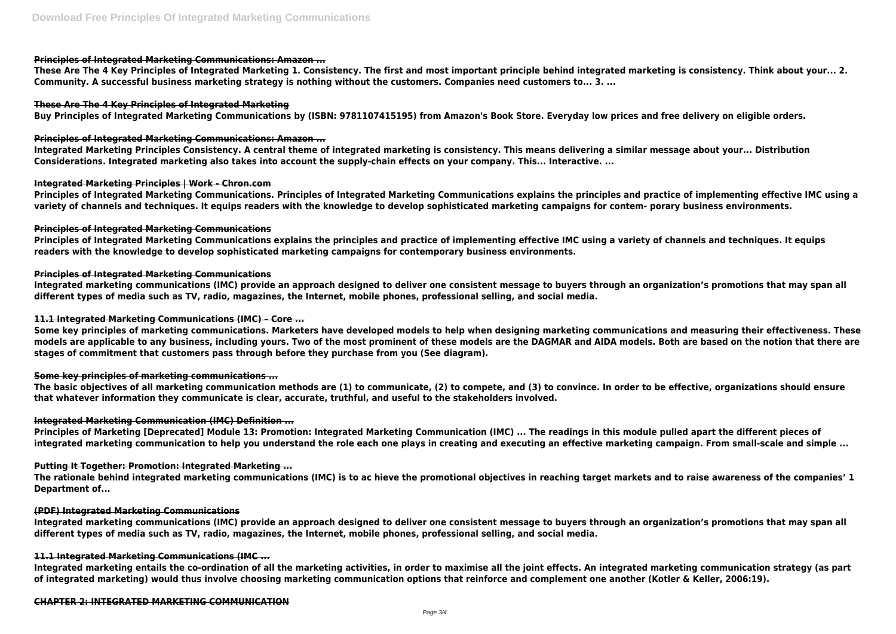## **Principles of Integrated Marketing Communications: Amazon ...**

**These Are The 4 Key Principles of Integrated Marketing 1. Consistency. The first and most important principle behind integrated marketing is consistency. Think about your... 2. Community. A successful business marketing strategy is nothing without the customers. Companies need customers to... 3. ...**

## **These Are The 4 Key Principles of Integrated Marketing**

**Buy Principles of Integrated Marketing Communications by (ISBN: 9781107415195) from Amazon's Book Store. Everyday low prices and free delivery on eligible orders.**

## **Principles of Integrated Marketing Communications: Amazon ...**

**Integrated Marketing Principles Consistency. A central theme of integrated marketing is consistency. This means delivering a similar message about your... Distribution Considerations. Integrated marketing also takes into account the supply-chain effects on your company. This... Interactive. ...**

## **Integrated Marketing Principles | Work - Chron.com**

**Principles of Integrated Marketing Communications. Principles of Integrated Marketing Communications explains the principles and practice of implementing effective IMC using a variety of channels and techniques. It equips readers with the knowledge to develop sophisticated marketing campaigns for contem- porary business environments.**

## **Principles of Integrated Marketing Communications**

**Principles of Integrated Marketing Communications explains the principles and practice of implementing effective IMC using a variety of channels and techniques. It equips readers with the knowledge to develop sophisticated marketing campaigns for contemporary business environments.**

## **Principles of Integrated Marketing Communications**

**Integrated marketing communications (IMC) provide an approach designed to deliver one consistent message to buyers through an organization's promotions that may span all different types of media such as TV, radio, magazines, the Internet, mobile phones, professional selling, and social media.**

## **11.1 Integrated Marketing Communications (IMC) – Core ...**

**Some key principles of marketing communications. Marketers have developed models to help when designing marketing communications and measuring their effectiveness. These models are applicable to any business, including yours. Two of the most prominent of these models are the DAGMAR and AIDA models. Both are based on the notion that there are stages of commitment that customers pass through before they purchase from you (See diagram).**

## **Some key principles of marketing communications ...**

**The basic objectives of all marketing communication methods are (1) to communicate, (2) to compete, and (3) to convince. In order to be effective, organizations should ensure that whatever information they communicate is clear, accurate, truthful, and useful to the stakeholders involved.**

## **Integrated Marketing Communication (IMC) Definition ...**

**Principles of Marketing [Deprecated] Module 13: Promotion: Integrated Marketing Communication (IMC) ... The readings in this module pulled apart the different pieces of integrated marketing communication to help you understand the role each one plays in creating and executing an effective marketing campaign. From small-scale and simple ...**

## **Putting It Together: Promotion: Integrated Marketing ...**

**The rationale behind integrated marketing communications (IMC) is to ac hieve the promotional objectives in reaching target markets and to raise awareness of the companies' 1 Department of...**

## **(PDF) Integrated Marketing Communications**

**Integrated marketing communications (IMC) provide an approach designed to deliver one consistent message to buyers through an organization's promotions that may span all different types of media such as TV, radio, magazines, the Internet, mobile phones, professional selling, and social media.**

## **11.1 Integrated Marketing Communications (IMC ...**

**Integrated marketing entails the co-ordination of all the marketing activities, in order to maximise all the joint effects. An integrated marketing communication strategy (as part of integrated marketing) would thus involve choosing marketing communication options that reinforce and complement one another (Kotler & Keller, 2006:19).**

## **CHAPTER 2: INTEGRATED MARKETING COMMUNICATION**